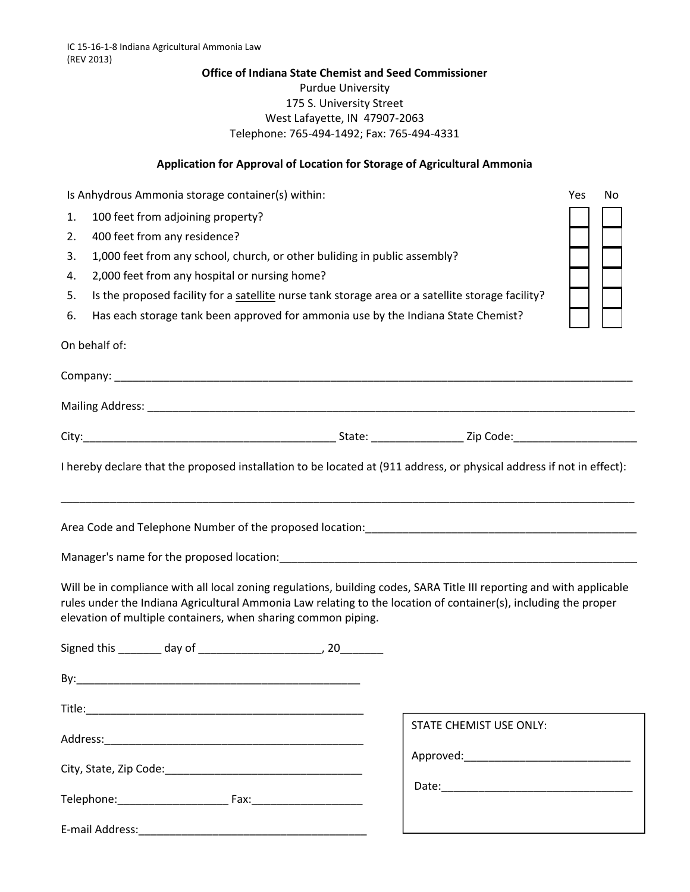## **Office of Indiana State Chemist and Seed Commissioner** Purdue University 175 S. University Street West Lafayette, IN 47907‐2063 Telephone: 765‐494‐1492; Fax: 765‐494‐4331

## **Application for Approval of Location for Storage of Agricultural Ammonia**

| Is Anhydrous Ammonia storage container(s) within:<br>100 feet from adjoining property?<br>1.<br>400 feet from any residence?<br>2.<br>1,000 feet from any school, church, or other buliding in public assembly?<br>3.<br>2,000 feet from any hospital or nursing home?<br>4.<br>Is the proposed facility for a satellite nurse tank storage area or a satellite storage facility?<br>5.<br>Has each storage tank been approved for ammonia use by the Indiana State Chemist?<br>6.<br>On behalf of: |                                | Yes<br>No |
|-----------------------------------------------------------------------------------------------------------------------------------------------------------------------------------------------------------------------------------------------------------------------------------------------------------------------------------------------------------------------------------------------------------------------------------------------------------------------------------------------------|--------------------------------|-----------|
|                                                                                                                                                                                                                                                                                                                                                                                                                                                                                                     |                                |           |
|                                                                                                                                                                                                                                                                                                                                                                                                                                                                                                     |                                |           |
|                                                                                                                                                                                                                                                                                                                                                                                                                                                                                                     |                                |           |
|                                                                                                                                                                                                                                                                                                                                                                                                                                                                                                     |                                |           |
|                                                                                                                                                                                                                                                                                                                                                                                                                                                                                                     |                                |           |
| Will be in compliance with all local zoning regulations, building codes, SARA Title III reporting and with applicable<br>rules under the Indiana Agricultural Ammonia Law relating to the location of container(s), including the proper<br>elevation of multiple containers, when sharing common piping.                                                                                                                                                                                           |                                |           |
|                                                                                                                                                                                                                                                                                                                                                                                                                                                                                                     |                                |           |
|                                                                                                                                                                                                                                                                                                                                                                                                                                                                                                     |                                |           |
|                                                                                                                                                                                                                                                                                                                                                                                                                                                                                                     |                                |           |
|                                                                                                                                                                                                                                                                                                                                                                                                                                                                                                     | <b>STATE CHEMIST USE ONLY:</b> |           |
|                                                                                                                                                                                                                                                                                                                                                                                                                                                                                                     |                                |           |
|                                                                                                                                                                                                                                                                                                                                                                                                                                                                                                     |                                |           |
| E-mail Address:                                                                                                                                                                                                                                                                                                                                                                                                                                                                                     |                                |           |